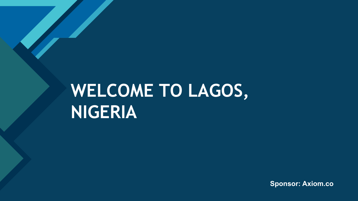### **WELCOME TO LAGOS, NIGERIA**

**Click to edit Master title style**

**Sponsor: Axiom.co**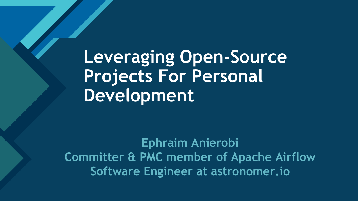**Leveraging Open-Source Projects For Personal Development**

**Click to edit Master title style**

**Ephraim Anierobi Committer & PMC member of Apache Airflow Software Engineer at astronomer.io**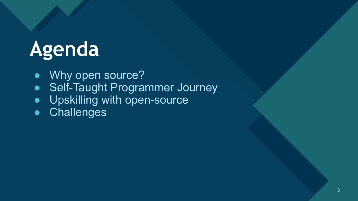# **Agenda**

● Why open source?

**Click to edit Master title style**

- Self-Taught Programmer Journey
- **•** Upskilling with open-source
- Challenges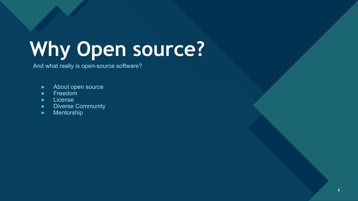# **Why Open source?**

And what really is open-source software?

**Click to edit Master title style**

- About open source
- Freedom
- License
- Diverse Community
- Mentorship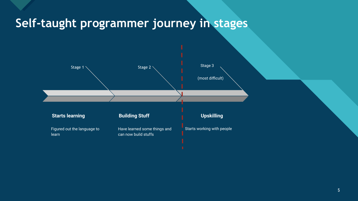#### Self-taught programmer journey in stages

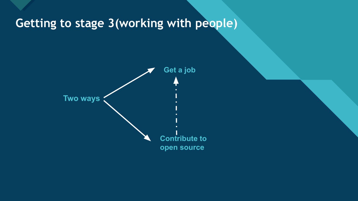#### Getting to stage 3(working with people)

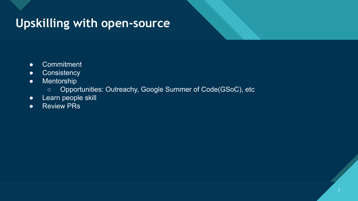#### Upskilling with open-source

- Commitment
- **•** Consistency
- Mentorship
	- Opportunities: Outreachy, Google Summer of Code(GSoC), etc
- Learn people skill
- Review PRs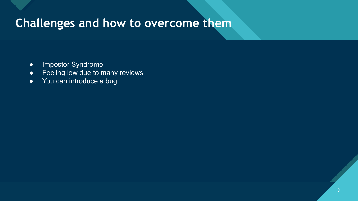#### **Challenges and how to overcome them**

- Impostor Syndrome
- Feeling low due to many reviews
- You can introduce a bug